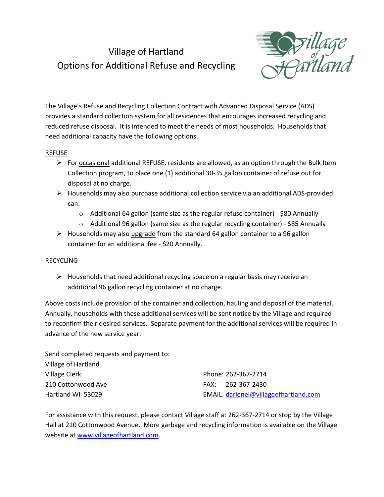## Village of Hartland Options for Additional Refuse and Recycling



The Village's Refuse and Recycling Collection Contract with Advanced Disposal Service (ADS) provides a standard collection system for all residences that encourages increased recycling and reduced refuse disposal. It is intended to meet the needs of most households. Households that need additional capacity have the following options.

## REFUSE

- For occasional additional REFUSE, residents are allowed, as an option through the Bulk Item Collection program, to place one (1) additional 30-35 gallon container of refuse out for disposal at no charge.
- $\triangleright$  Households may also purchase additional collection service via an additional ADS-provided can:
	- o Additional 64 gallon (same size as the regular refuse container) \$80 Annually
	- $\circ$  Additional 96 gallon (same size as the regular recycling container) \$85 Annually
- $\triangleright$  Households may also upgrade from the standard 64 gallon container to a 96 gallon container for an additional fee - \$20 Annually.

## RECYCLING

 $\triangleright$  Households that need additional recycling space on a regular basis may receive an additional 96 gallon recycling container at no charge.

Above costs include provision of the container and collection, hauling and disposal of the material. Annually, households with these additional services will be sent notice by the Village and required to reconfirm their desired services. Separate payment for the additional services will be required in advance of the new service year.

| Send completed requests and payment to: |                                       |
|-----------------------------------------|---------------------------------------|
| Village of Hartland                     |                                       |
| Village Clerk                           | Phone: 262-367-2714                   |
| 210 Cottonwood Ave                      | FAX: 262-367-2430                     |
| Hartland WI 53029                       | EMAIL: darlenei@villageofhartland.com |

For assistance with this request, please contact Village staff at 262-367-2714 or stop by the Village Hall at 210 Cottonwood Avenue. More garbage and recycling information is available on the Village website at [www.villageofhartland.com.](http://www.villageofhartland.com/)